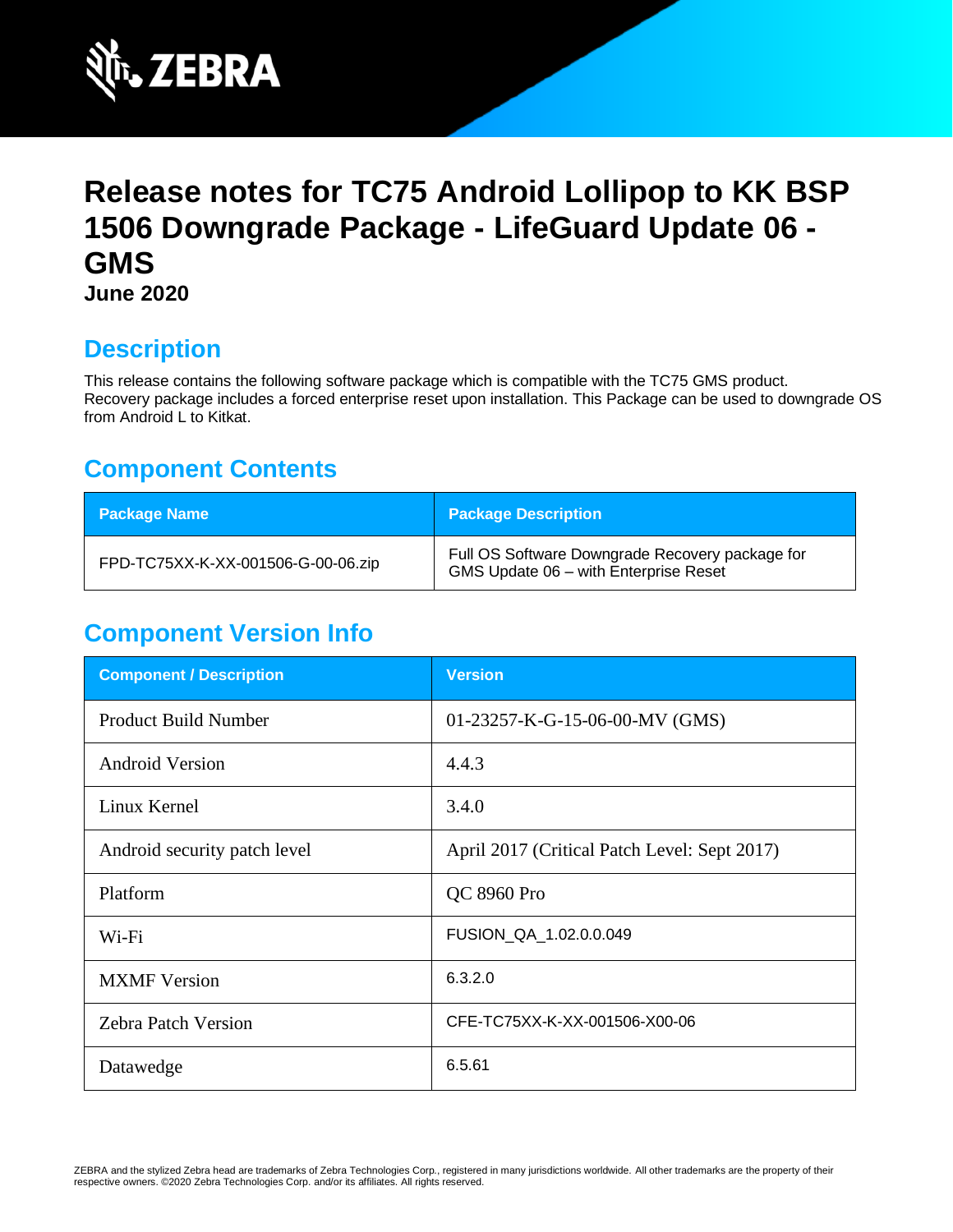

# **Release notes for TC75 Android Lollipop to KK BSP 1506 Downgrade Package - LifeGuard Update 06 - GMS June 2020**

## **Description**

This release contains the following software package which is compatible with the TC75 GMS product. Recovery package includes a forced enterprise reset upon installation. This Package can be used to downgrade OS from Android L to Kitkat.

## **Component Contents**

| <b>Package Name</b>                | <b>Package Description</b>                                                               |
|------------------------------------|------------------------------------------------------------------------------------------|
| FPD-TC75XX-K-XX-001506-G-00-06.zip | Full OS Software Downgrade Recovery package for<br>GMS Update 06 - with Enterprise Reset |

## **Component Version Info**

| <b>Component / Description</b> | <b>Version</b>                               |
|--------------------------------|----------------------------------------------|
| <b>Product Build Number</b>    | 01-23257-K-G-15-06-00-MV (GMS)               |
| <b>Android Version</b>         | 4.4.3                                        |
| Linux Kernel                   | 3.4.0                                        |
| Android security patch level   | April 2017 (Critical Patch Level: Sept 2017) |
| Platform                       | QC 8960 Pro                                  |
| Wi-Fi                          | FUSION_QA_1.02.0.0.049                       |
| <b>MXMF</b> Version            | 6.3.2.0                                      |
| <b>Zebra Patch Version</b>     | CFE-TC75XX-K-XX-001506-X00-06                |
| Datawedge                      | 6.5.61                                       |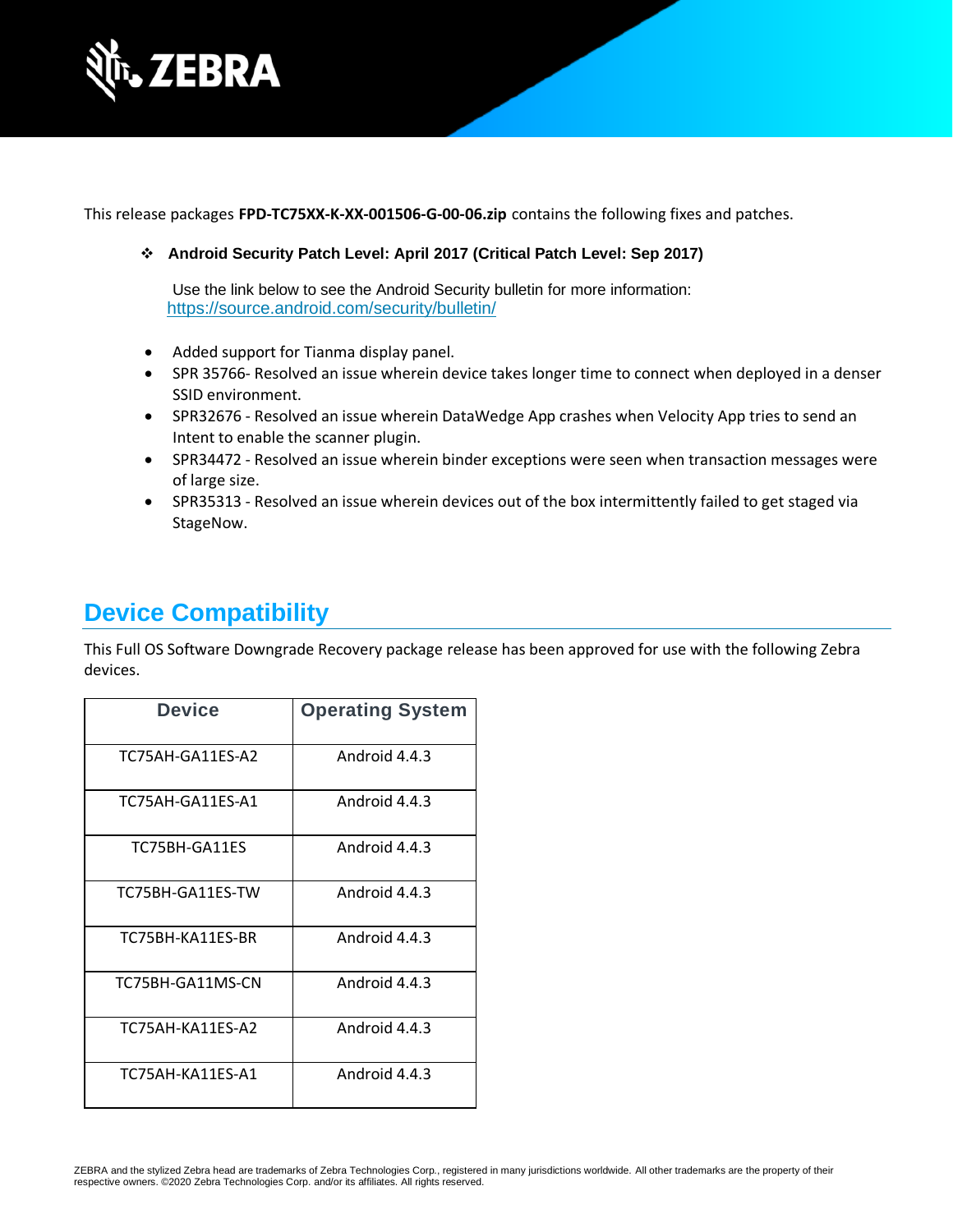

This release packages **FPD-TC75XX-K-XX-001506-G-00-06.zip** contains the following fixes and patches.

### ❖ **Android Security Patch Level: April 2017 (Critical Patch Level: Sep 2017)**

Use the link below to see the Android Security bulletin for more information: <https://source.android.com/security/bulletin/>

- Added support for Tianma display panel.
- SPR 35766- Resolved an issue wherein device takes longer time to connect when deployed in a denser SSID environment.
- SPR32676 Resolved an issue wherein DataWedge App crashes when Velocity App tries to send an Intent to enable the scanner plugin.
- SPR34472 Resolved an issue wherein binder exceptions were seen when transaction messages were of large size.
- SPR35313 Resolved an issue wherein devices out of the box intermittently failed to get staged via StageNow.

### **Device Compatibility**

This Full OS Software Downgrade Recovery package release has been approved for use with the following Zebra devices.

| <b>Device</b>    | <b>Operating System</b> |
|------------------|-------------------------|
| TC75AH-GA11ES-A2 | Android 4.4.3           |
| TC75AH-GA11ES-A1 | Android 4.4.3           |
| TC75BH-GA11ES    | Android 4.4.3           |
| TC75BH-GA11ES-TW | Android 4.4.3           |
| TC75BH-KA11ES-BR | Android 4.4.3           |
| TC75BH-GA11MS-CN | Android 4.4.3           |
| TC75AH-KA11ES-A2 | Android 4.4.3           |
| TC75AH-KA11ES-A1 | Android 4.4.3           |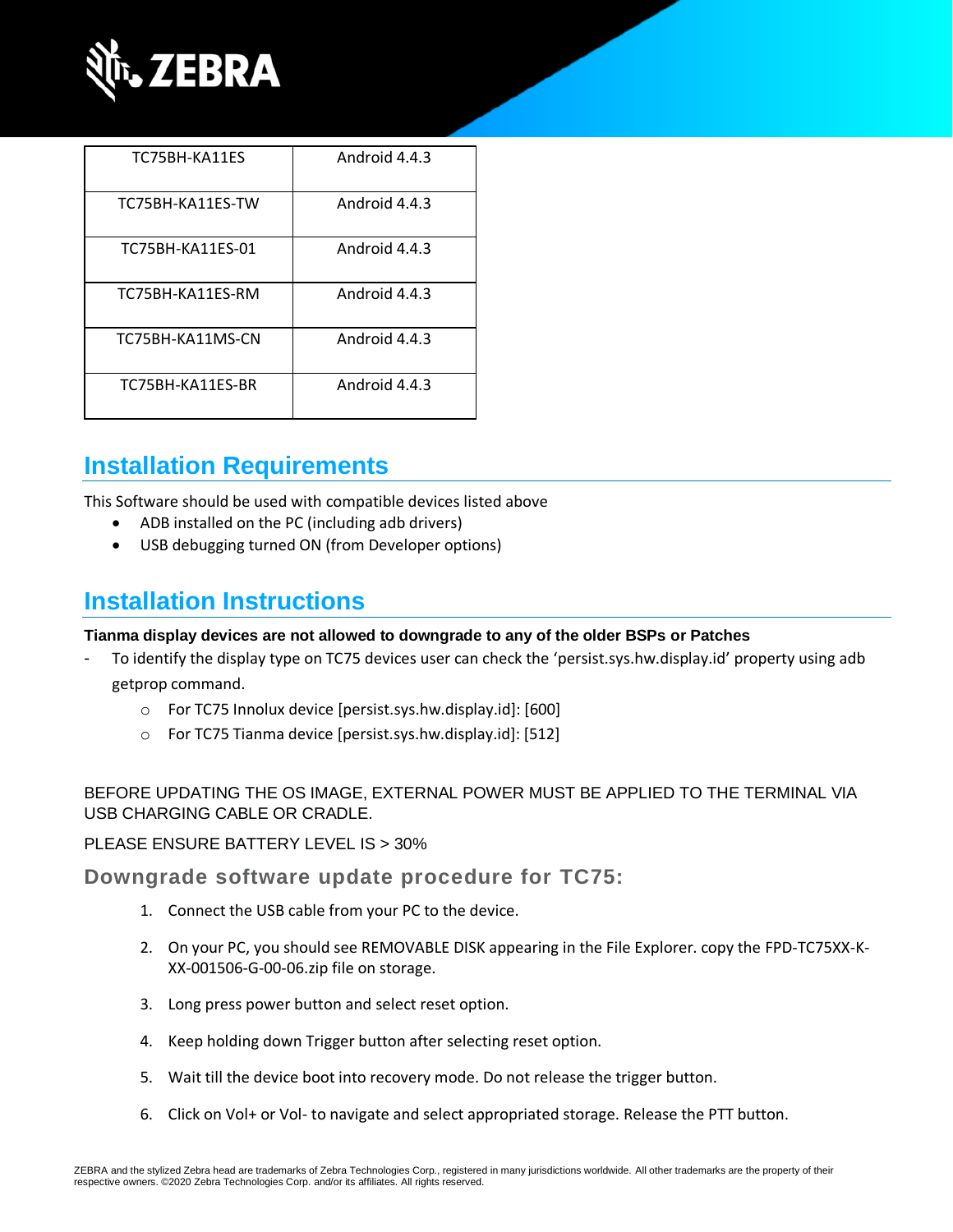

| TC75BH-KA11ES    | Android 4.4.3 |
|------------------|---------------|
| TC75BH-KA11ES-TW | Android 4.4.3 |
| TC75BH-KA11ES-01 | Android 4.4.3 |
| TC75BH-KA11ES-RM | Android 4.4.3 |
| TC75BH-KA11MS-CN | Android 4.4.3 |
| TC75BH-KA11ES-BR | Android 4.4.3 |

# **Installation Requirements**

This Software should be used with compatible devices listed above

- ADB installed on the PC (including adb drivers)
- USB debugging turned ON (from Developer options)

### **Installation Instructions**

#### **Tianma display devices are not allowed to downgrade to any of the older BSPs or Patches**

- To identify the display type on TC75 devices user can check the 'persist.sys.hw.display.id' property using adb getprop command.
	- o For TC75 Innolux device [persist.sys.hw.display.id]: [600]
	- o For TC75 Tianma device [persist.sys.hw.display.id]: [512]

### BEFORE UPDATING THE OS IMAGE, EXTERNAL POWER MUST BE APPLIED TO THE TERMINAL VIA USB CHARGING CABLE OR CRADLE.

#### PLEASE ENSURE BATTERY LEVEL IS > 30%

### **Downgrade software update procedure for TC75:**

- 1. Connect the USB cable from your PC to the device.
- 2. On your PC, you should see REMOVABLE DISK appearing in the File Explorer. copy the FPD-TC75XX-K-XX-001506-G-00-06.zip file on storage.
- 3. Long press power button and select reset option.
- 4. Keep holding down Trigger button after selecting reset option.
- 5. Wait till the device boot into recovery mode. Do not release the trigger button.
- 6. Click on Vol+ or Vol- to navigate and select appropriated storage. Release the PTT button.